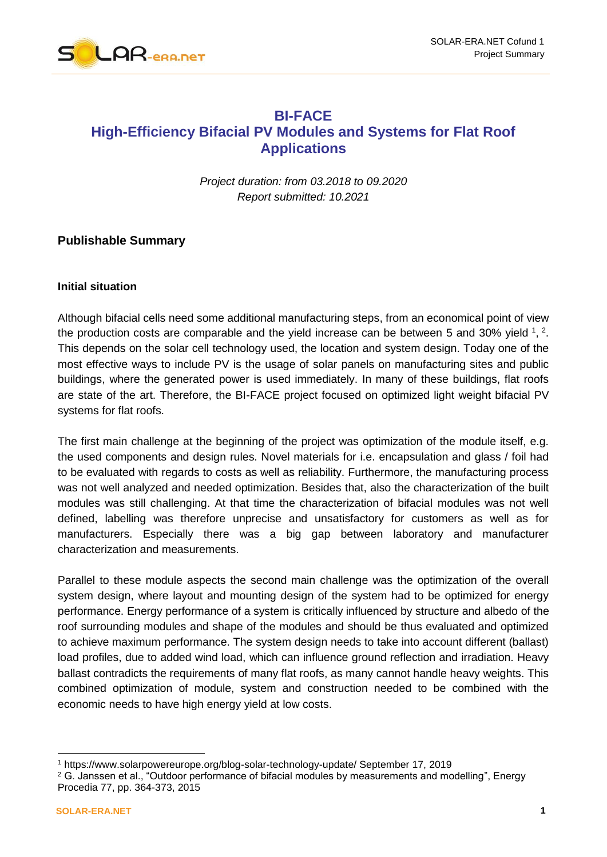

# **BI-FACE High-Efficiency Bifacial PV Modules and Systems for Flat Roof Applications**

*Project duration: from 03.2018 to 09.2020 Report submitted: 10.2021*

# **Publishable Summary**

#### **Initial situation**

Although bifacial cells need some additional manufacturing steps, from an economical point of view the production costs are comparable and the yield increase can be between 5 and 30% yield  $1, 2$ . This depends on the solar cell technology used, the location and system design. Today one of the most effective ways to include PV is the usage of solar panels on manufacturing sites and public buildings, where the generated power is used immediately. In many of these buildings, flat roofs are state of the art. Therefore, the BI-FACE project focused on optimized light weight bifacial PV systems for flat roofs.

The first main challenge at the beginning of the project was optimization of the module itself, e.g. the used components and design rules. Novel materials for i.e. encapsulation and glass / foil had to be evaluated with regards to costs as well as reliability. Furthermore, the manufacturing process was not well analyzed and needed optimization. Besides that, also the characterization of the built modules was still challenging. At that time the characterization of bifacial modules was not well defined, labelling was therefore unprecise and unsatisfactory for customers as well as for manufacturers. Especially there was a big gap between laboratory and manufacturer characterization and measurements.

Parallel to these module aspects the second main challenge was the optimization of the overall system design, where layout and mounting design of the system had to be optimized for energy performance. Energy performance of a system is critically influenced by structure and albedo of the roof surrounding modules and shape of the modules and should be thus evaluated and optimized to achieve maximum performance. The system design needs to take into account different (ballast) load profiles, due to added wind load, which can influence ground reflection and irradiation. Heavy ballast contradicts the requirements of many flat roofs, as many cannot handle heavy weights. This combined optimization of module, system and construction needed to be combined with the economic needs to have high energy yield at low costs.

-

<sup>1</sup> https://www.solarpowereurope.org/blog-solar-technology-update/ September 17, 2019

<sup>2</sup> G. Janssen et al., "Outdoor performance of bifacial modules by measurements and modelling", Energy Procedia 77, pp. 364-373, 2015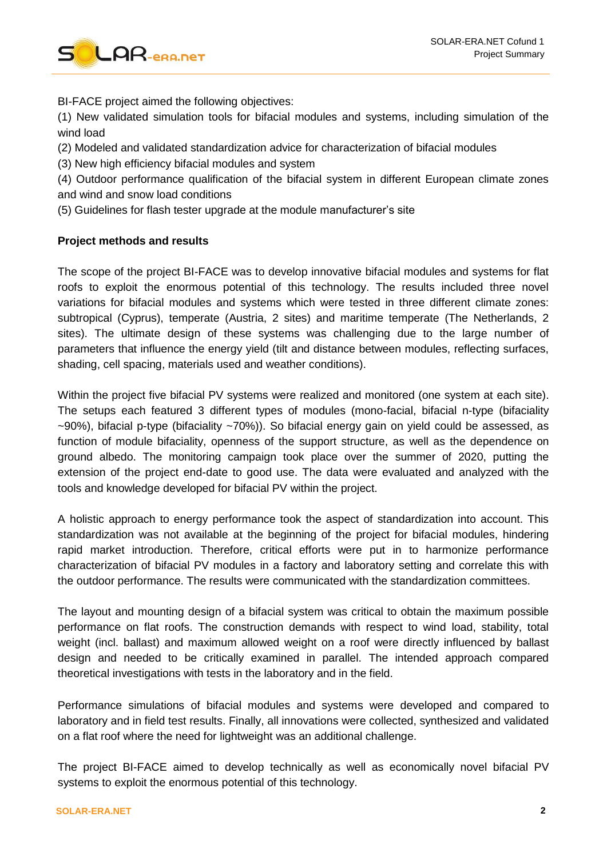

BI-FACE project aimed the following objectives:

(1) New validated simulation tools for bifacial modules and systems, including simulation of the wind load

(2) Modeled and validated standardization advice for characterization of bifacial modules

(3) New high efficiency bifacial modules and system

(4) Outdoor performance qualification of the bifacial system in different European climate zones and wind and snow load conditions

(5) Guidelines for flash tester upgrade at the module manufacturer's site

## **Project methods and results**

The scope of the project BI-FACE was to develop innovative bifacial modules and systems for flat roofs to exploit the enormous potential of this technology. The results included three novel variations for bifacial modules and systems which were tested in three different climate zones: subtropical (Cyprus), temperate (Austria, 2 sites) and maritime temperate (The Netherlands, 2 sites). The ultimate design of these systems was challenging due to the large number of parameters that influence the energy yield (tilt and distance between modules, reflecting surfaces, shading, cell spacing, materials used and weather conditions).

Within the project five bifacial PV systems were realized and monitored (one system at each site). The setups each featured 3 different types of modules (mono-facial, bifacial n-type (bifaciality ~90%), bifacial p-type (bifaciality ~70%)). So bifacial energy gain on yield could be assessed, as function of module bifaciality, openness of the support structure, as well as the dependence on ground albedo. The monitoring campaign took place over the summer of 2020, putting the extension of the project end-date to good use. The data were evaluated and analyzed with the tools and knowledge developed for bifacial PV within the project.

A holistic approach to energy performance took the aspect of standardization into account. This standardization was not available at the beginning of the project for bifacial modules, hindering rapid market introduction. Therefore, critical efforts were put in to harmonize performance characterization of bifacial PV modules in a factory and laboratory setting and correlate this with the outdoor performance. The results were communicated with the standardization committees.

The layout and mounting design of a bifacial system was critical to obtain the maximum possible performance on flat roofs. The construction demands with respect to wind load, stability, total weight (incl. ballast) and maximum allowed weight on a roof were directly influenced by ballast design and needed to be critically examined in parallel. The intended approach compared theoretical investigations with tests in the laboratory and in the field.

Performance simulations of bifacial modules and systems were developed and compared to laboratory and in field test results. Finally, all innovations were collected, synthesized and validated on a flat roof where the need for lightweight was an additional challenge.

The project BI-FACE aimed to develop technically as well as economically novel bifacial PV systems to exploit the enormous potential of this technology.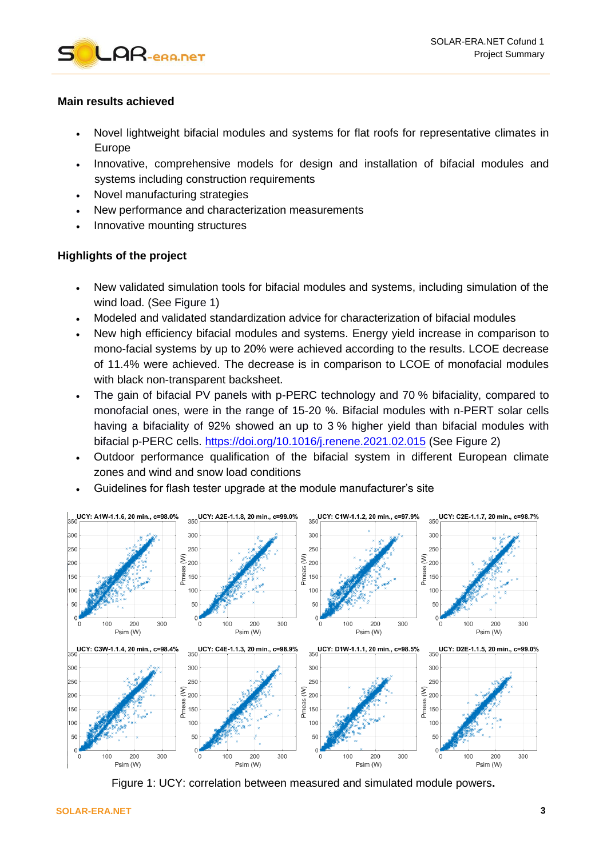

## **Main results achieved**

- Novel lightweight bifacial modules and systems for flat roofs for representative climates in Europe
- Innovative, comprehensive models for design and installation of bifacial modules and systems including construction requirements
- Novel manufacturing strategies
- New performance and characterization measurements
- Innovative mounting structures

# **Highlights of the project**

- New validated simulation tools for bifacial modules and systems, including simulation of the wind load. (See [Figure 1\)](#page-2-0)
- Modeled and validated standardization advice for characterization of bifacial modules
- New high efficiency bifacial modules and systems. Energy yield increase in comparison to mono-facial systems by up to 20% were achieved according to the results. LCOE decrease of 11.4% were achieved. The decrease is in comparison to LCOE of monofacial modules with black non-transparent backsheet.
- The gain of bifacial PV panels with p-PERC technology and 70 % bifaciality, compared to monofacial ones, were in the range of 15-20 %. Bifacial modules with n-PERT solar cells having a bifaciality of 92% showed an up to 3 % higher yield than bifacial modules with bifacial p-PERC cells.<https://doi.org/10.1016/j.renene.2021.02.015> (See [Figure 2\)](#page-3-0)
- Outdoor performance qualification of the bifacial system in different European climate zones and wind and snow load conditions
- Guidelines for flash tester upgrade at the module manufacturer's site



<span id="page-2-0"></span>Figure 1: UCY: correlation between measured and simulated module powers**.**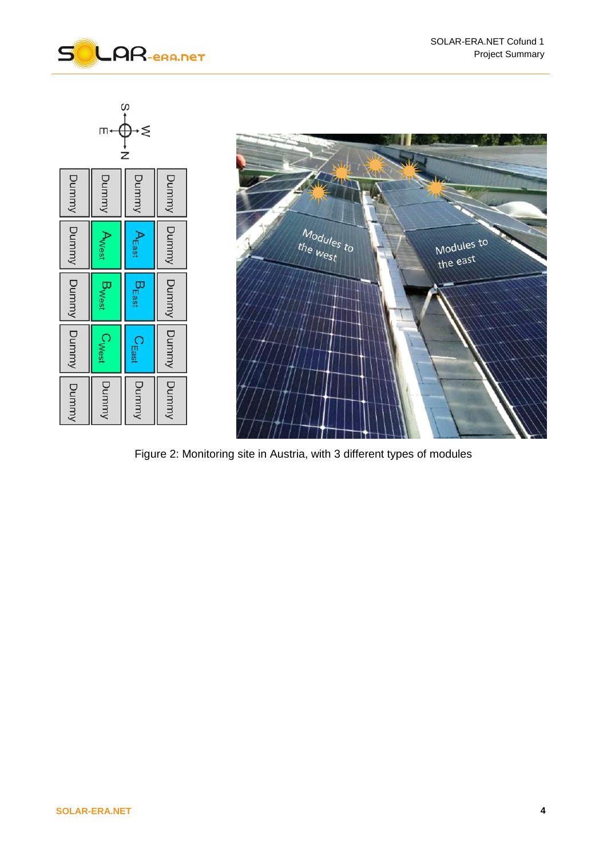



<span id="page-3-0"></span>Figure 2: Monitoring site in Austria, with 3 different types of modules